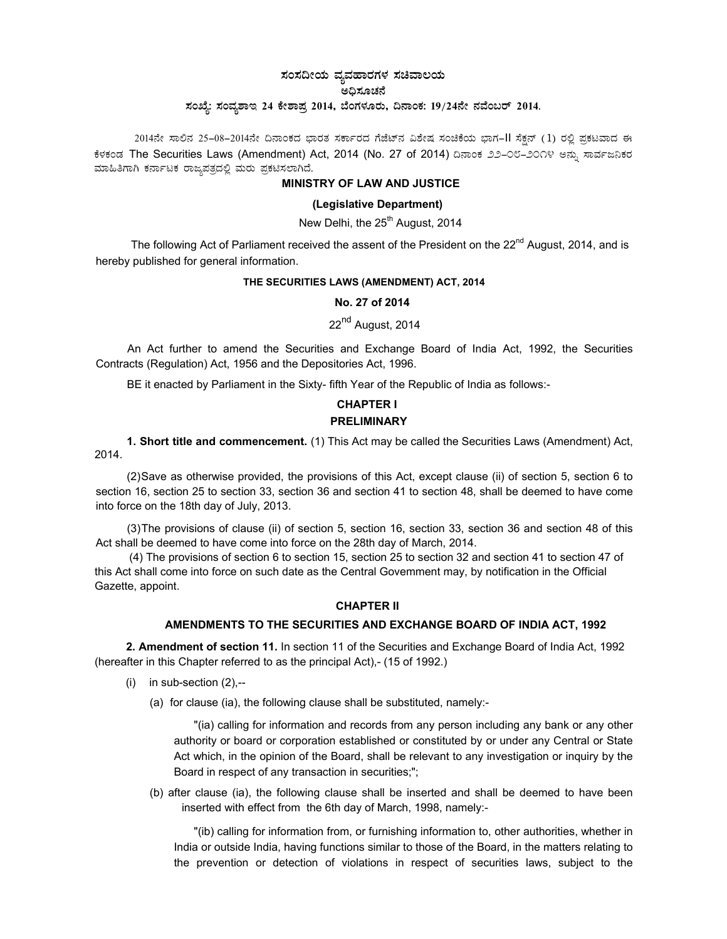# **¸ÀA¸À¢ÃAiÀÄ ªÀåªÀºÁgÀUÀ¼ À ¸ÀaªÁ®Ai ÀÄ C¢ü¸ÀÆZ À£É ¸ÀASÉå: ¸ ÀAª Àå±ÁE 24 PÉñÁ¥Àæ 2014, ¨ÉAUÀ¼ÀÆg ÀÄ, ¢£ÁAPÀ: 19/24£Éà £ÀªÉA§gï 2014.**

2014ನೇ ಸಾಲಿನ 25-08-2014ನೇ ದಿನಾಂಕದ ಭಾರತ ಸರ್ಕಾರದ ಗೆಜೆಟ್ನ ವಿಶೇಷ ಸಂಚಿಕೆಯ ಭಾಗ-II ಸೆಕ್ಷನ್ (1) ರಲ್ಲಿ ಪ್ರಕಟವಾದ ಈ ಕೆಳಕಂಡ The Securities Laws (Amendment) Act, 2014 (No. 27 of 2014) ದಿನಾಂಕ ೨೨–೦೮–೨೦೧೪ ಅನ್ನು ಸಾರ್ವಜನಿಕರ ಮಾಹಿತಿಗಾಗಿ ಕರ್ನಾಟಕ ರಾಜ್ಯಪತ್ರದಲ್ಲಿ ಮರು ಪ್ರಕಟಿಸಲಾಗಿದೆ.

### **MINISTRY OF LAW AND JUSTICE**

## **(Legislative Department)**

# New Delhi, the 25<sup>th</sup> August, 2014

The following Act of Parliament received the assent of the President on the  $22^{nd}$  August, 2014, and is hereby published for general information.

#### **THE SECURITIES LAWS (AMENDMENT) ACT, 2014**

## **No. 27 of 2014**

# 22<sup>nd</sup> August, 2014

An Act further to amend the Securities and Exchange Board of India Act, 1992, the Securities Contracts (Regulation) Act, 1956 and the Depositories Act, 1996.

BE it enacted by Parliament in the Sixty- fifth Year of the Republic of India as follows:-

# **CHAPTER I**

#### **PRELIMINARY**

**1. Short title and commencement.** (1) This Act may be called the Securities Laws (Amendment) Act, 2014.

(2) Save as otherwise provided, the provisions of this Act, except clause (ii) of section 5, section 6 to section 16, section 25 to section 33, section 36 and section 41 to section 48, shall be deemed to have come into force on the 18th day of July, 2013.

(3) The provisions of clause (ii) of section 5, section 16, section 33, section 36 and section 48 of this Act shall be deemed to have come into force on the 28th day of March, 2014.

 (4) The provisions of section 6 to section 15, section 25 to section 32 and section 41 to section 47 of this Act shall come into force on such date as the Central Govemment may, by notification in the Official Gazette, appoint.

#### **CHAPTER II**

## **AMENDMENTS TO THE SECURITIES AND EXCHANGE BOARD OF INDIA ACT, 1992**

**2. Amendment of section 11.** In section 11 of the Securities and Exchange Board of India Act, 1992 (hereafter in this Chapter referred to as the principal Act),- (15 of 1992.)

- $(i)$  in sub-section  $(2)$ ,--
	- (a) for clause (ia), the following clause shall be substituted, namely:-

"(ia) calling for information and records from any person including any bank or any other authority or board or corporation established or constituted by or under any Central or State Act which, in the opinion of the Board, shall be relevant to any investigation or inquiry by the Board in respect of any transaction in securities;";

(b) after clause (ia), the following clause shall be inserted and shall be deemed to have been inserted with effect from the 6th day of March, 1998, namely:-

"(ib) calling for information from, or furnishing information to, other authorities, whether in India or outside India, having functions similar to those of the Board, in the matters relating to the prevention or detection of violations in respect of securities laws, subject to the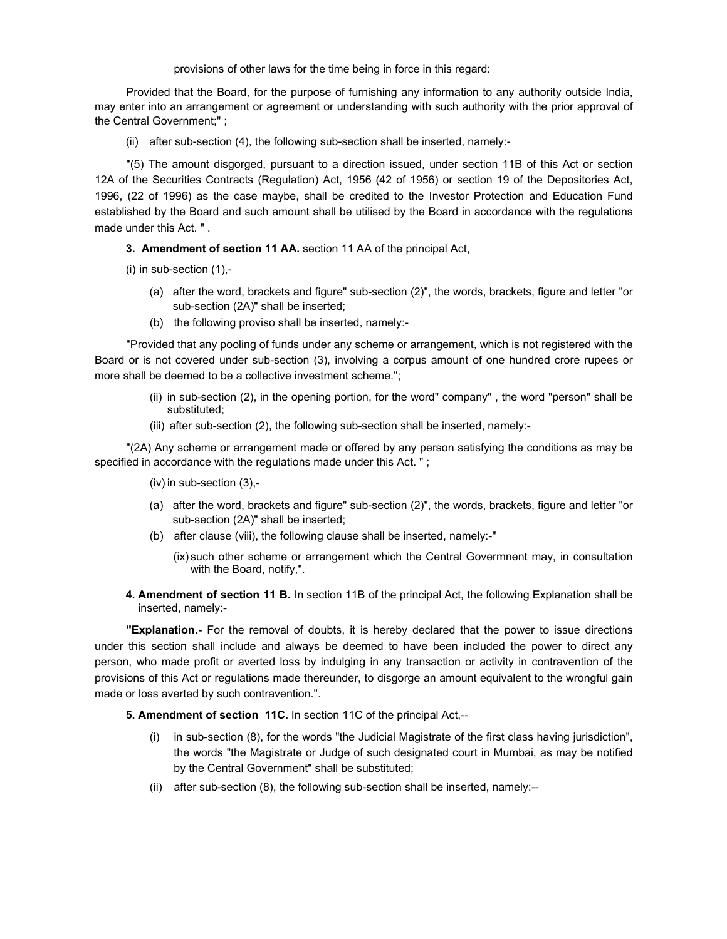provisions of other laws for the time being in force in this regard:

Provided that the Board, for the purpose of furnishing any information to any authority outside India, may enter into an arrangement or agreement or understanding with such authority with the prior approval of the Central Government;" ;

(ii) after sub-section (4), the following sub-section shall be inserted, namely:-

"(5) The amount disgorged, pursuant to a direction issued, under section 11B of this Act or section 12A of the Securities Contracts (Regulation) Act, 1956 (42 of 1956) or section 19 of the Depositories Act, 1996, (22 of 1996) as the case maybe, shall be credited to the Investor Protection and Education Fund established by the Board and such amount shall be utilised by the Board in accordance with the regulations made under this Act. " .

**3. Amendment of section 11 AA.** section 11 AA of the principal Act,

- (i) in sub-section (1),-
	- (a) after the word, brackets and figure" sub-section (2)", the words, brackets, figure and letter "or sub-section (2A)" shall be inserted;
	- (b) the following proviso shall be inserted, namely:-

"Provided that any pooling of funds under any scheme or arrangement, which is not registered with the Board or is not covered under sub-section (3), involving a corpus amount of one hundred crore rupees or more shall be deemed to be a collective investment scheme.";

- (ii) in sub-section (2), in the opening portion, for the word" company" , the word "person" shall be substituted;
- (iii) after sub-section (2), the following sub-section shall be inserted, namely:-

"(2A) Any scheme or arrangement made or offered by any person satisfying the conditions as may be specified in accordance with the regulations made under this Act. " ;

- (iv) in sub-section (3),-
- (a) after the word, brackets and figure" sub-section (2)", the words, brackets, figure and letter "or sub-section (2A)" shall be inserted;
- (b) after clause (viii), the following clause shall be inserted, namely:-"
	- (ix) such other scheme or arrangement which the Central Govermnent may, in consultation with the Board, notify,".
- **4. Amendment of section 11 B.** In section 11B of the principal Act, the following Explanation shall be inserted, namely:-

**"Explanation.-** For the removal of doubts, it is hereby declared that the power to issue directions under this section shall include and always be deemed to have been included the power to direct any person, who made profit or averted loss by indulging in any transaction or activity in contravention of the provisions of this Act or regulations made thereunder, to disgorge an amount equivalent to the wrongful gain made or loss averted by such contravention.".

**5. Amendment of section 11C.** In section 11C of the principal Act,--

- (i) in sub-section (8), for the words "the Judicial Magistrate of the first class having jurisdiction", the words "the Magistrate or Judge of such designated court in Mumbai, as may be notified by the Central Government" shall be substituted;
- (ii) after sub-section (8), the following sub-section shall be inserted, namely:--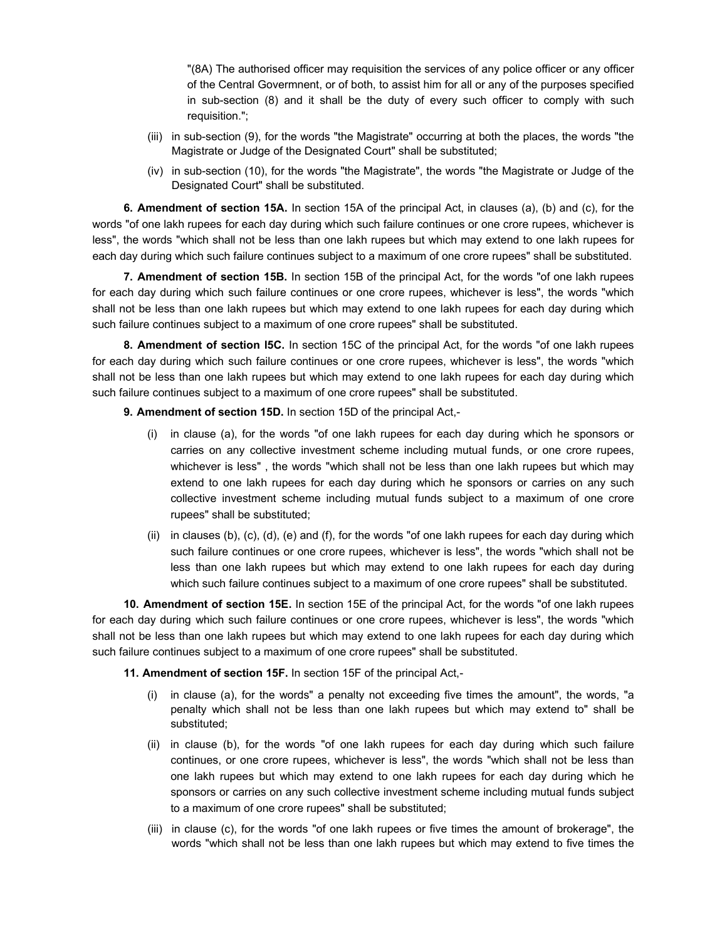"(8A) The authorised officer may requisition the services of any police officer or any officer of the Central Govermnent, or of both, to assist him for all or any of the purposes specified in sub-section (8) and it shall be the duty of every such officer to comply with such requisition.";

- (iii) in sub-section (9), for the words "the Magistrate" occurring at both the places, the words "the Magistrate or Judge of the Designated Court" shall be substituted;
- (iv) in sub-section (10), for the words "the Magistrate", the words "the Magistrate or Judge of the Designated Court" shall be substituted.

**6. Amendment of section 15A.** In section 15A of the principal Act, in clauses (a), (b) and (c), for the words "of one lakh rupees for each day during which such failure continues or one crore rupees, whichever is less", the words "which shall not be less than one lakh rupees but which may extend to one lakh rupees for each day during which such failure continues subject to a maximum of one crore rupees" shall be substituted.

**7. Amendment of section 15B.** In section 15B of the principal Act, for the words "of one lakh rupees for each day during which such failure continues or one crore rupees, whichever is less", the words "which shall not be less than one lakh rupees but which may extend to one lakh rupees for each day during which such failure continues subject to a maximum of one crore rupees" shall be substituted.

**8. Amendment of section l5C.** In section 15C of the principal Act, for the words "of one lakh rupees for each day during which such failure continues or one crore rupees, whichever is less", the words "which shall not be less than one lakh rupees but which may extend to one lakh rupees for each day during which such failure continues subject to a maximum of one crore rupees" shall be substituted.

## **9. Amendment of section 15D.** In section 15D of the principal Act,-

- (i) in clause (a), for the words "of one lakh rupees for each day during which he sponsors or carries on any collective investment scheme including mutual funds, or one crore rupees, whichever is less" , the words "which shall not be less than one lakh rupees but which may extend to one lakh rupees for each day during which he sponsors or carries on any such collective investment scheme including mutual funds subject to a maximum of one crore rupees" shall be substituted;
- (ii) in clauses (b), (c), (d), (e) and (f), for the words "of one lakh rupees for each day during which such failure continues or one crore rupees, whichever is less", the words "which shall not be less than one lakh rupees but which may extend to one lakh rupees for each day during which such failure continues subject to a maximum of one crore rupees" shall be substituted.

**10. Amendment of section 15E.** In section 15E of the principal Act, for the words "of one lakh rupees for each day during which such failure continues or one crore rupees, whichever is less", the words "which shall not be less than one lakh rupees but which may extend to one lakh rupees for each day during which such failure continues subject to a maximum of one crore rupees" shall be substituted.

## **11.Amendment of section 15F.** In section 15F of the principal Act,-

- (i) in clause (a), for the words" a penalty not exceeding five times the amount", the words, "a penalty which shall not be less than one lakh rupees but which may extend to" shall be substituted;
- (ii) in clause (b), for the words "of one lakh rupees for each day during which such failure continues, or one crore rupees, whichever is less", the words "which shall not be less than one lakh rupees but which may extend to one lakh rupees for each day during which he sponsors or carries on any such collective investment scheme including mutual funds subject to a maximum of one crore rupees" shall be substituted;
- (iii) in clause (c), for the words "of one lakh rupees or five times the amount of brokerage", the words "which shall not be less than one lakh rupees but which may extend to five times the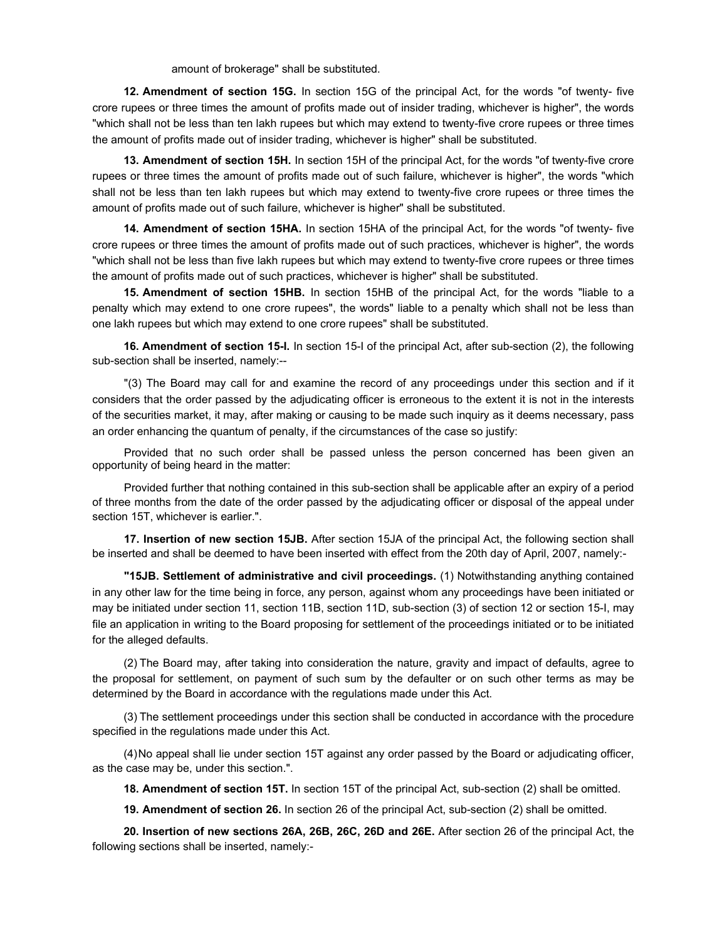amount of brokerage" shall be substituted.

**12. Amendment of section 15G.** In section 15G of the principal Act, for the words "of twenty- five crore rupees or three times the amount of profits made out of insider trading, whichever is higher", the words "which shall not be less than ten lakh rupees but which may extend to twenty-five crore rupees or three times the amount of profits made out of insider trading, whichever is higher" shall be substituted.

**13. Amendment of section 15H.** In section 15H of the principal Act, for the words "of twenty-five crore rupees or three times the amount of profits made out of such failure, whichever is higher", the words "which shall not be less than ten lakh rupees but which may extend to twenty-five crore rupees or three times the amount of profits made out of such failure, whichever is higher" shall be substituted.

**14. Amendment of section 15HA.** In section 15HA of the principal Act, for the words "of twenty- five crore rupees or three times the amount of profits made out of such practices, whichever is higher", the words "which shall not be less than five lakh rupees but which may extend to twenty-five crore rupees or three times the amount of profits made out of such practices, whichever is higher" shall be substituted.

**15. Amendment of section 15HB.** In section 15HB of the principal Act, for the words "liable to a penalty which may extend to one crore rupees", the words" liable to a penalty which shall not be less than one lakh rupees but which may extend to one crore rupees" shall be substituted.

**16. Amendment of section 15-I.** In section 15-I of the principal Act, after sub-section (2), the following sub-section shall be inserted, namely:--

"(3) The Board may call for and examine the record of any proceedings under this section and if it considers that the order passed by the adjudicating officer is erroneous to the extent it is not in the interests of the securities market, it may, after making or causing to be made such inquiry as it deems necessary, pass an order enhancing the quantum of penalty, if the circumstances of the case so justify:

Provided that no such order shall be passed unless the person concerned has been given an opportunity of being heard in the matter:

Provided further that nothing contained in this sub-section shall be applicable after an expiry of a period of three months from the date of the order passed by the adjudicating officer or disposal of the appeal under section 15T, whichever is earlier.".

**17. Insertion of new section 15JB.** After section 15JA of the principal Act, the following section shall be inserted and shall be deemed to have been inserted with effect from the 20th day of April, 2007, namely:-

**"15JB. Settlement of administrative and civil proceedings.** (1) Notwithstanding anything contained in any other law for the time being in force, any person, against whom any proceedings have been initiated or may be initiated under section 11, section 11B, section 11D, sub-section (3) of section 12 or section 15-I, may file an application in writing to the Board proposing for settlement of the proceedings initiated or to be initiated for the alleged defaults.

(2) The Board may, after taking into consideration the nature, gravity and impact of defaults, agree to the proposal for settlement, on payment of such sum by the defaulter or on such other terms as may be determined by the Board in accordance with the regulations made under this Act.

(3) The settlement proceedings under this section shall be conducted in accordance with the procedure specified in the regulations made under this Act.

(4) No appeal shall lie under section 15T against any order passed by the Board or adjudicating officer, as the case may be, under this section.".

**18.Amendment of section 15T.** In section 15T of the principal Act, sub-section (2) shall be omitted.

**19.Amendment of section 26.** In section 26 of the principal Act, sub-section (2) shall be omitted.

**20.Insertion of new sections 26A, 26B, 26C, 26D and 26E.** After section 26 of the principal Act, the following sections shall be inserted, namely:-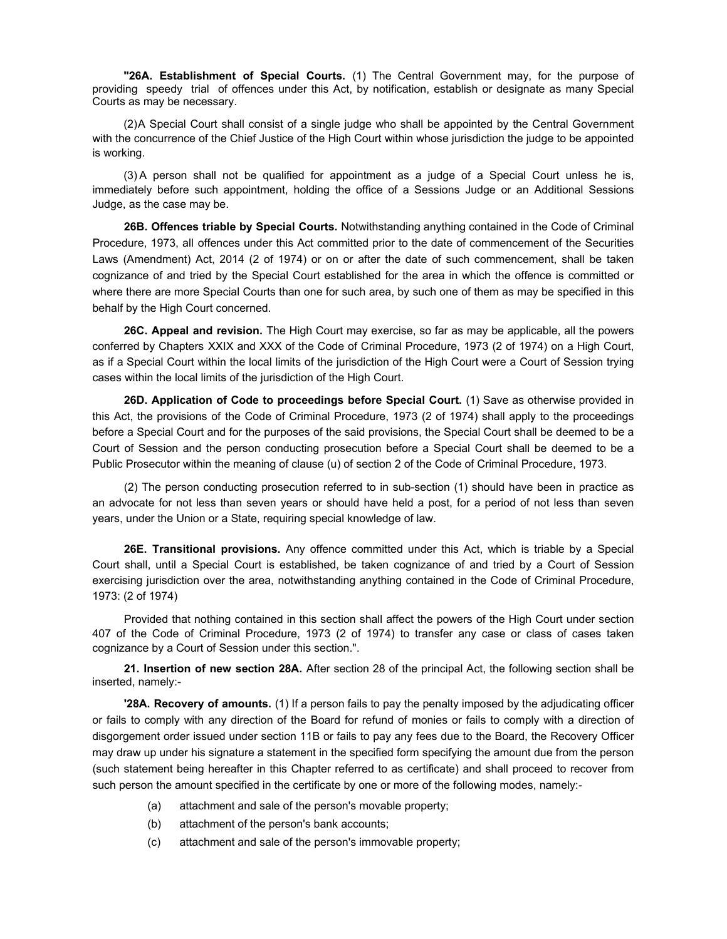**"26A. Establishment of Special Courts.** (1) The Central Government may, for the purpose of providing speedy trial of offences under this Act, by notification, establish or designate as many Special Courts as may be necessary.

(2) A Special Court shall consist of a single judge who shall be appointed by the Central Government with the concurrence of the Chief Justice of the High Court within whose jurisdiction the judge to be appointed is working.

(3) A person shall not be qualified for appointment as a judge of a Special Court unless he is, immediately before such appointment, holding the office of a Sessions Judge or an Additional Sessions Judge, as the case may be.

**26B. Offences triable by Special Courts.** Notwithstanding anything contained in the Code of Criminal Procedure, 1973, all offences under this Act committed prior to the date of commencement of the Securities Laws (Amendment) Act, 2014 (2 of 1974) or on or after the date of such commencement, shall be taken cognizance of and tried by the Special Court established for the area in which the offence is committed or where there are more Special Courts than one for such area, by such one of them as may be specified in this behalf by the High Court concerned.

**26C. Appeal and revision.** The High Court may exercise, so far as may be applicable, all the powers conferred by Chapters XXIX and XXX of the Code of Criminal Procedure, 1973 (2 of 1974) on a High Court, as if a Special Court within the local limits of the jurisdiction of the High Court were a Court of Session trying cases within the local limits of the jurisdiction of the High Court.

**26D. Application of Code to proceedings before Special Court.** (1) Save as otherwise provided in this Act, the provisions of the Code of Criminal Procedure, 1973 (2 of 1974) shall apply to the proceedings before a Special Court and for the purposes of the said provisions, the Special Court shall be deemed to be a Court of Session and the person conducting prosecution before a Special Court shall be deemed to be a Public Prosecutor within the meaning of clause (u) of section 2 of the Code of Criminal Procedure, 1973.

(2) The person conducting prosecution referred to in sub-section (1) should have been in practice as an advocate for not less than seven years or should have held a post, for a period of not less than seven years, under the Union or a State, requiring special knowledge of law.

**26E. Transitional provisions.** Any offence committed under this Act, which is triable by a Special Court shall, until a Special Court is established, be taken cognizance of and tried by a Court of Session exercising jurisdiction over the area, notwithstanding anything contained in the Code of Criminal Procedure, 1973: (2 of 1974)

Provided that nothing contained in this section shall affect the powers of the High Court under section 407 of the Code of Criminal Procedure, 1973 (2 of 1974) to transfer any case or class of cases taken cognizance by a Court of Session under this section.".

**21. Insertion of new section 28A.** After section 28 of the principal Act, the following section shall be inserted, namely:-

**'28A. Recovery of amounts.** (1) If a person fails to pay the penalty imposed by the adjudicating officer or fails to comply with any direction of the Board for refund of monies or fails to comply with a direction of disgorgement order issued under section 11B or fails to pay any fees due to the Board, the Recovery Officer may draw up under his signature a statement in the specified form specifying the amount due from the person (such statement being hereafter in this Chapter referred to as certificate) and shall proceed to recover from such person the amount specified in the certificate by one or more of the following modes, namely:-

- (a) attachment and sale of the person's movable property;
- (b) attachment of the person's bank accounts;
- (c) attachment and sale of the person's immovable property;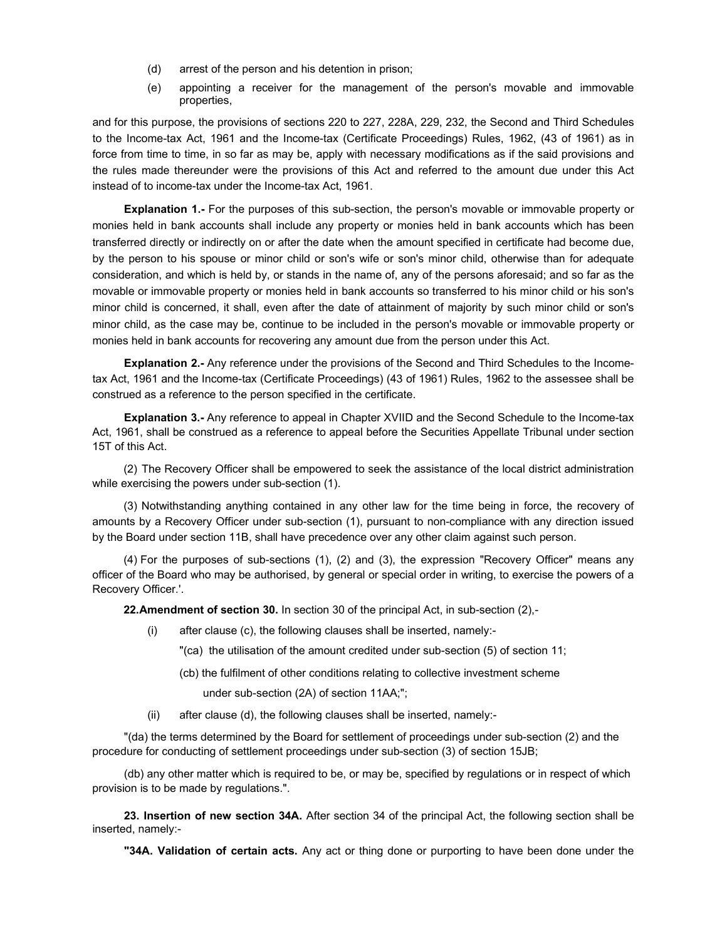- (d) arrest of the person and his detention in prison;
- (e) appointing a receiver for the management of the person's movable and immovable properties,

and for this purpose, the provisions of sections 220 to 227, 228A, 229, 232, the Second and Third Schedules to the Income-tax Act, 1961 and the Income-tax (Certificate Proceedings) Rules, 1962, (43 of 1961) as in force from time to time, in so far as may be, apply with necessary modifications as if the said provisions and the rules made thereunder were the provisions of this Act and referred to the amount due under this Act instead of to income-tax under the Income-tax Act, 1961.

**Explanation 1.-** For the purposes of this sub-section, the person's movable or immovable property or monies held in bank accounts shall include any property or monies held in bank accounts which has been transferred directly or indirectly on or after the date when the amount specified in certificate had become due, by the person to his spouse or minor child or son's wife or son's minor child, otherwise than for adequate consideration, and which is held by, or stands in the name of, any of the persons aforesaid; and so far as the movable or immovable property or monies held in bank accounts so transferred to his minor child or his son's minor child is concerned, it shall, even after the date of attainment of majority by such minor child or son's minor child, as the case may be, continue to be included in the person's movable or immovable property or monies held in bank accounts for recovering any amount due from the person under this Act.

**Explanation 2.-** Any reference under the provisions of the Second and Third Schedules to the Incometax Act, 1961 and the Income-tax (Certificate Proceedings) (43 of 1961) Rules, 1962 to the assessee shall be construed as a reference to the person specified in the certificate.

**Explanation 3.-** Any reference to appeal in Chapter XVIID and the Second Schedule to the Income-tax Act, 1961, shall be construed as a reference to appeal before the Securities Appellate Tribunal under section 15T of this Act.

(2) The Recovery Officer shall be empowered to seek the assistance of the local district administration while exercising the powers under sub-section (1).

(3) Notwithstanding anything contained in any other law for the time being in force, the recovery of amounts by a Recovery Officer under sub-section (1), pursuant to non-compliance with any direction issued by the Board under section 11B, shall have precedence over any other claim against such person.

(4)For the purposes of sub-sections (1), (2) and (3), the expression "Recovery Officer" means any officer of the Board who may be authorised, by general or special order in writing, to exercise the powers of a Recovery Officer.'.

**22. Amendment of section 30.** In section 30 of the principal Act, in sub-section (2),-

(i) after clause (c), the following clauses shall be inserted, namely:-

"(ca) the utilisation of the amount credited under sub-section (5) of section 11;

(cb) the fulfilment of other conditions relating to collective investment scheme

under sub-section (2A) of section 11AA;";

(ii) after clause (d), the following clauses shall be inserted, namely:-

"(da) the terms determined by the Board for settlement of proceedings under sub-section (2) and the procedure for conducting of settlement proceedings under sub-section (3) of section 15JB;

(db) any other matter which is required to be, or may be, specified by regulations or in respect of which provision is to be made by regulations.".

**23. Insertion of new section 34A.** After section 34 of the principal Act, the following section shall be inserted, namely:-

**"34A. Validation of certain acts.** Any act or thing done or purporting to have been done under the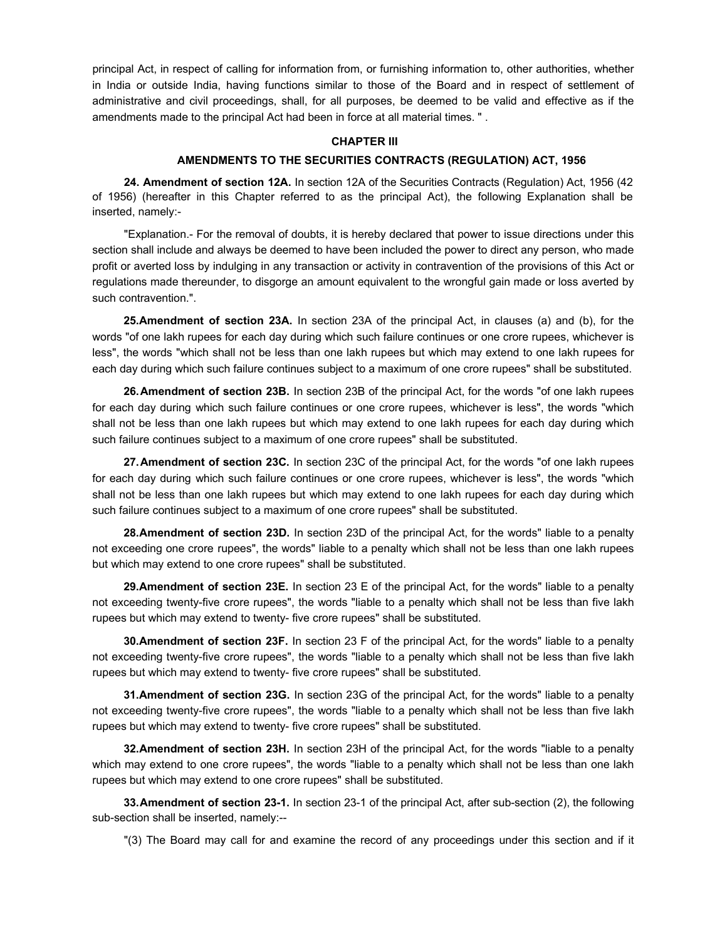principal Act, in respect of calling for information from, or furnishing information to, other authorities, whether in India or outside India, having functions similar to those of the Board and in respect of settlement of administrative and civil proceedings, shall, for all purposes, be deemed to be valid and effective as if the amendments made to the principal Act had been in force at all material times. " .

#### **CHAPTER III**

## **AMENDMENTS TO THE SECURITIES CONTRACTS (REGULATION) ACT, 1956**

**24. Amendment of section 12A.** In section 12A of the Securities Contracts (Regulation) Act, 1956 (42 of 1956) (hereafter in this Chapter referred to as the principal Act), the following Explanation shall be inserted, namely:-

"Explanation.- For the removal of doubts, it is hereby declared that power to issue directions under this section shall include and always be deemed to have been included the power to direct any person, who made profit or averted loss by indulging in any transaction or activity in contravention of the provisions of this Act or regulations made thereunder, to disgorge an amount equivalent to the wrongful gain made or loss averted by such contravention.".

**25.Amendment of section 23A.** In section 23A of the principal Act, in clauses (a) and (b), for the words "of one lakh rupees for each day during which such failure continues or one crore rupees, whichever is less", the words "which shall not be less than one lakh rupees but which may extend to one lakh rupees for each day during which such failure continues subject to a maximum of one crore rupees" shall be substituted.

**26. Amendment of section 23B.** In section 23B of the principal Act, for the words "of one lakh rupees for each day during which such failure continues or one crore rupees, whichever is less", the words "which shall not be less than one lakh rupees but which may extend to one lakh rupees for each day during which such failure continues subject to a maximum of one crore rupees" shall be substituted.

**27. Amendment of section 23C.** In section 23C of the principal Act, for the words "of one lakh rupees for each day during which such failure continues or one crore rupees, whichever is less", the words "which shall not be less than one lakh rupees but which may extend to one lakh rupees for each day during which such failure continues subject to a maximum of one crore rupees" shall be substituted.

**28. Amendment of section 23D.** In section 23D of the principal Act, for the words" liable to a penalty not exceeding one crore rupees", the words" liable to a penalty which shall not be less than one lakh rupees but which may extend to one crore rupees" shall be substituted.

**29.Amendment of section 23E.** In section 23 E of the principal Act, for the words" liable to a penalty not exceeding twenty-five crore rupees", the words "liable to a penalty which shall not be less than five lakh rupees but which may extend to twenty- five crore rupees" shall be substituted.

**30.Amendment of section 23F.** In section 23 F of the principal Act, for the words" liable to a penalty not exceeding twenty-five crore rupees", the words "liable to a penalty which shall not be less than five lakh rupees but which may extend to twenty- five crore rupees" shall be substituted.

**31.Amendment of section 23G.** In section 23G of the principal Act, for the words" liable to a penalty not exceeding twenty-five crore rupees", the words "liable to a penalty which shall not be less than five lakh rupees but which may extend to twenty- five crore rupees" shall be substituted.

**32. Amendment of section 23H.** In section 23H of the principal Act, for the words "liable to a penalty which may extend to one crore rupees", the words "liable to a penalty which shall not be less than one lakh rupees but which may extend to one crore rupees" shall be substituted.

**33. Amendment of section 23-1.** In section 23-1 of the principal Act, after sub-section (2), the following sub-section shall be inserted, namely:--

"(3) The Board may call for and examine the record of any proceedings under this section and if it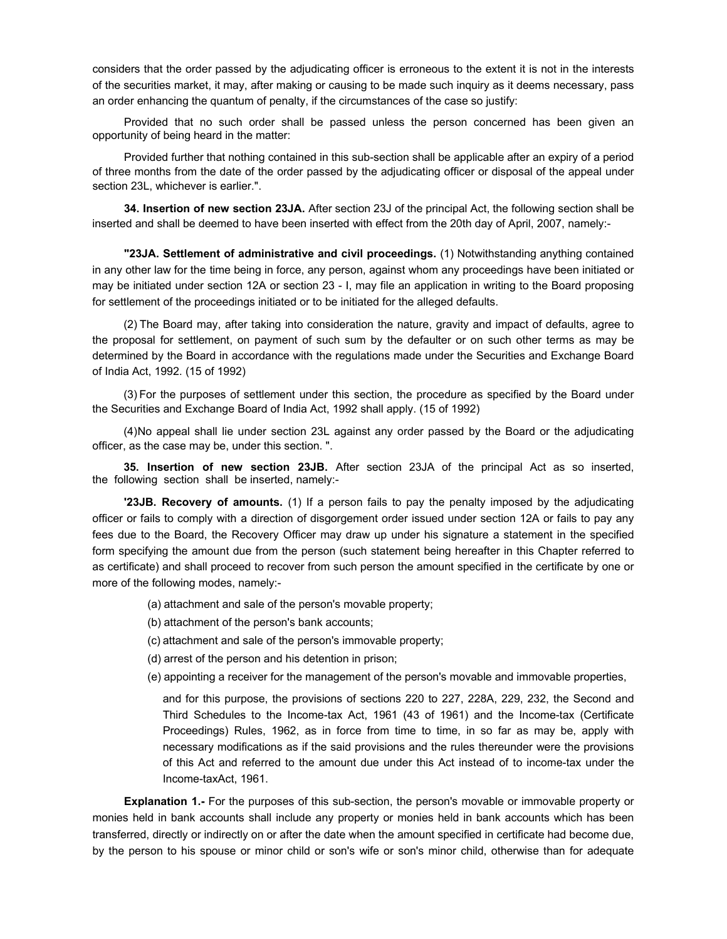considers that the order passed by the adjudicating officer is erroneous to the extent it is not in the interests of the securities market, it may, after making or causing to be made such inquiry as it deems necessary, pass an order enhancing the quantum of penalty, if the circumstances of the case so justify:

Provided that no such order shall be passed unless the person concerned has been given an opportunity of being heard in the matter:

Provided further that nothing contained in this sub-section shall be applicable after an expiry of a period of three months from the date of the order passed by the adjudicating officer or disposal of the appeal under section 23L, whichever is earlier.".

**34. Insertion of new section 23JA.** After section 23J of the principal Act, the following section shall be inserted and shall be deemed to have been inserted with effect from the 20th day of April, 2007, namely:-

**"23JA. Settlement of administrative and civil proceedings.** (1) Notwithstanding anything contained in any other law for the time being in force, any person, against whom any proceedings have been initiated or may be initiated under section 12A or section 23 - I, may file an application in writing to the Board proposing for settlement of the proceedings initiated or to be initiated for the alleged defaults.

(2) The Board may, after taking into consideration the nature, gravity and impact of defaults, agree to the proposal for settlement, on payment of such sum by the defaulter or on such other terms as may be determined by the Board in accordance with the regulations made under the Securities and Exchange Board of India Act, 1992. (15 of 1992)

(3) For the purposes of settlement under this section, the procedure as specified by the Board under the Securities and Exchange Board of India Act, 1992 shall apply. (15 of 1992)

(4) No appeal shall lie under section 23L against any order passed by the Board or the adjudicating officer, as the case may be, under this section. ".

**35. Insertion of new section 23JB.** After section 23JA of the principal Act as so inserted, the following section shall be inserted, namely:-

**'23JB. Recovery of amounts.** (1) If a person fails to pay the penalty imposed by the adjudicating officer or fails to comply with a direction of disgorgement order issued under section 12A or fails to pay any fees due to the Board, the Recovery Officer may draw up under his signature a statement in the specified form specifying the amount due from the person (such statement being hereafter in this Chapter referred to as certificate) and shall proceed to recover from such person the amount specified in the certificate by one or more of the following modes, namely:-

- (a) attachment and sale of the person's movable property;
- (b) attachment of the person's bank accounts;
- (c) attachment and sale of the person's immovable property;
- (d) arrest of the person and his detention in prison;
- (e) appointing a receiver for the management of the person's movable and immovable properties,

and for this purpose, the provisions of sections 220 to 227, 228A, 229, 232, the Second and Third Schedules to the Income-tax Act, 1961 (43 of 1961) and the Income-tax (Certificate Proceedings) Rules, 1962, as in force from time to time, in so far as may be, apply with necessary modifications as if the said provisions and the rules thereunder were the provisions of this Act and referred to the amount due under this Act instead of to income-tax under the Income-taxAct, 1961.

**Explanation 1.-** For the purposes of this sub-section, the person's movable or immovable property or monies held in bank accounts shall include any property or monies held in bank accounts which has been transferred, directly or indirectly on or after the date when the amount specified in certificate had become due, by the person to his spouse or minor child or son's wife or son's minor child, otherwise than for adequate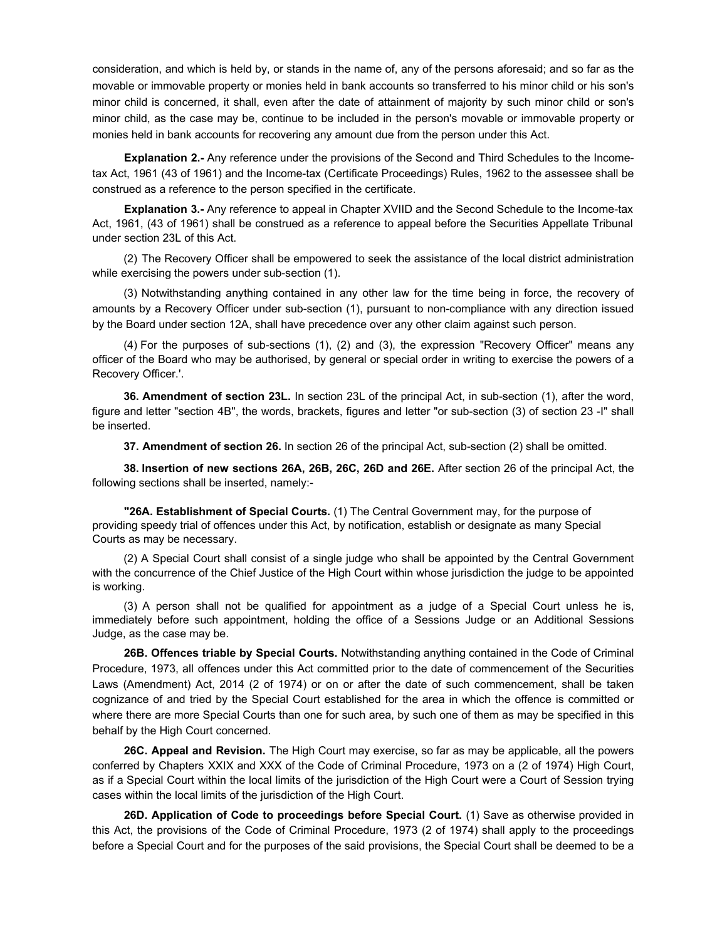consideration, and which is held by, or stands in the name of, any of the persons aforesaid; and so far as the movable or immovable property or monies held in bank accounts so transferred to his minor child or his son's minor child is concerned, it shall, even after the date of attainment of majority by such minor child or son's minor child, as the case may be, continue to be included in the person's movable or immovable property or monies held in bank accounts for recovering any amount due from the person under this Act.

**Explanation 2.-** Any reference under the provisions of the Second and Third Schedules to the Incometax Act, 1961 (43 of 1961) and the Income-tax (Certificate Proceedings) Rules, 1962 to the assessee shall be construed as a reference to the person specified in the certificate.

**Explanation 3.-** Any reference to appeal in Chapter XVIID and the Second Schedule to the Income-tax Act, 1961, (43 of 1961) shall be construed as a reference to appeal before the Securities Appellate Tribunal under section 23L of this Act.

(2) The Recovery Officer shall be empowered to seek the assistance of the local district administration while exercising the powers under sub-section (1).

(3) Notwithstanding anything contained in any other law for the time being in force, the recovery of amounts by a Recovery Officer under sub-section (1), pursuant to non-compliance with any direction issued by the Board under section 12A, shall have precedence over any other claim against such person.

(4)For the purposes of sub-sections (1), (2) and (3), the expression "Recovery Officer" means any officer of the Board who may be authorised, by general or special order in writing to exercise the powers of a Recovery Officer.'.

**36.Amendment of section 23L.** In section 23L of the principal Act, in sub-section (1), after the word, figure and letter "section 4B", the words, brackets, figures and letter "or sub-section (3) of section 23 -I" shall be inserted.

**37.Amendment of section 26.** In section 26 of the principal Act, sub-section (2) shall be omitted.

**38. Insertion of new sections 26A, 26B, 26C, 26D and 26E.** After section 26 of the principal Act, the following sections shall be inserted, namely:-

**"26A. Establishment of Special Courts.** (1) The Central Government may, for the purpose of providing speedy trial of offences under this Act, by notification, establish or designate as many Special Courts as may be necessary.

(2) A Special Court shall consist of a single judge who shall be appointed by the Central Government with the concurrence of the Chief Justice of the High Court within whose jurisdiction the judge to be appointed is working.

(3) A person shall not be qualified for appointment as a judge of a Special Court unless he is, immediately before such appointment, holding the office of a Sessions Judge or an Additional Sessions Judge, as the case may be.

**26B. Offences triable by Special Courts.** Notwithstanding anything contained in the Code of Criminal Procedure, 1973, all offences under this Act committed prior to the date of commencement of the Securities Laws (Amendment) Act, 2014 (2 of 1974) or on or after the date of such commencement, shall be taken cognizance of and tried by the Special Court established for the area in which the offence is committed or where there are more Special Courts than one for such area, by such one of them as may be specified in this behalf by the High Court concerned.

**26C. Appeal and Revision.** The High Court may exercise, so far as may be applicable, all the powers conferred by Chapters XXIX and XXX of the Code of Criminal Procedure, 1973 on a (2 of 1974) High Court, as if a Special Court within the local limits of the jurisdiction of the High Court were a Court of Session trying cases within the local limits of the jurisdiction of the High Court.

**26D. Application of Code to proceedings before Special Court.** (1) Save as otherwise provided in this Act, the provisions of the Code of Criminal Procedure, 1973 (2 of 1974) shall apply to the proceedings before a Special Court and for the purposes of the said provisions, the Special Court shall be deemed to be a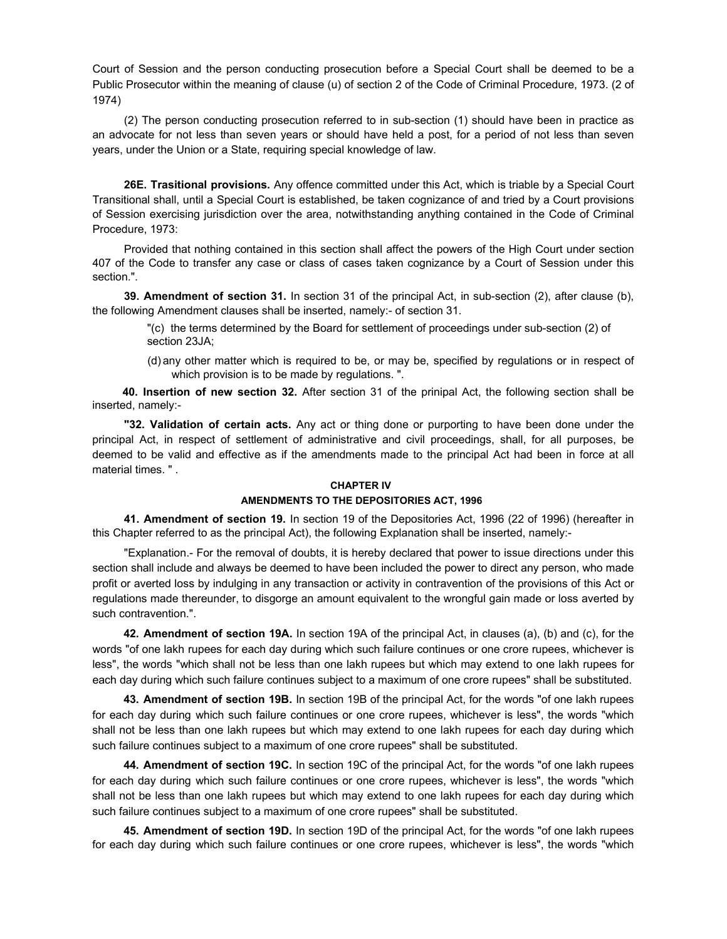Court of Session and the person conducting prosecution before a Special Court shall be deemed to be a Public Prosecutor within the meaning of clause (u) of section 2 of the Code of Criminal Procedure, 1973. (2 of 1974)

(2) The person conducting prosecution referred to in sub-section (1) should have been in practice as an advocate for not less than seven years or should have held a post, for a period of not less than seven years, under the Union or a State, requiring special knowledge of law.

**26E. Trasitional provisions.** Any offence committed under this Act, which is triable by a Special Court Transitional shall, until a Special Court is established, be taken cognizance of and tried by a Court provisions of Session exercising jurisdiction over the area, notwithstanding anything contained in the Code of Criminal Procedure, 1973:

Provided that nothing contained in this section shall affect the powers of the High Court under section 407 of the Code to transfer any case or class of cases taken cognizance by a Court of Session under this section.".

**39. Amendment of section 31.** In section 31 of the principal Act, in sub-section (2), after clause (b), the following Amendment clauses shall be inserted, namely:- of section 31.

"(c) the terms determined by the Board for settlement of proceedings under sub-section (2) of section 23JA;

(d) any other matter which is required to be, or may be, specified by regulations or in respect of which provision is to be made by regulations. ".

 **40. Insertion of new section 32.** After section 31 of the prinipal Act, the following section shall be inserted, namely:-

**"32. Validation of certain acts.** Any act or thing done or purporting to have been done under the principal Act, in respect of settlement of administrative and civil proceedings, shall, for all purposes, be deemed to be valid and effective as if the amendments made to the principal Act had been in force at all material times. " .

#### **CHAPTER IV**

#### **AMENDMENTS TO THE DEPOSITORIES ACT, 1996**

**41. Amendment of section 19.** In section 19 of the Depositories Act, 1996 (22 of 1996) (hereafter in this Chapter referred to as the principal Act), the following Explanation shall be inserted, namely:-

"Explanation.- For the removal of doubts, it is hereby declared that power to issue directions under this section shall include and always be deemed to have been included the power to direct any person, who made profit or averted loss by indulging in any transaction or activity in contravention of the provisions of this Act or regulations made thereunder, to disgorge an amount equivalent to the wrongful gain made or loss averted by such contravention.".

**42. Amendment of section 19A.** In section 19A of the principal Act, in clauses (a), (b) and (c), for the words "of one lakh rupees for each day during which such failure continues or one crore rupees, whichever is less", the words "which shall not be less than one lakh rupees but which may extend to one lakh rupees for each day during which such failure continues subject to a maximum of one crore rupees" shall be substituted.

**43. Amendment of section 19B.** In section 19B of the principal Act, for the words "of one lakh rupees for each day during which such failure continues or one crore rupees, whichever is less", the words "which shall not be less than one lakh rupees but which may extend to one lakh rupees for each day during which such failure continues subject to a maximum of one crore rupees" shall be substituted.

**44. Amendment of section 19C.** In section 19C of the principal Act, for the words "of one lakh rupees for each day during which such failure continues or one crore rupees, whichever is less", the words "which shall not be less than one lakh rupees but which may extend to one lakh rupees for each day during which such failure continues subject to a maximum of one crore rupees" shall be substituted.

**45. Amendment of section 19D.** In section 19D of the principal Act, for the words "of one lakh rupees for each day during which such failure continues or one crore rupees, whichever is less", the words "which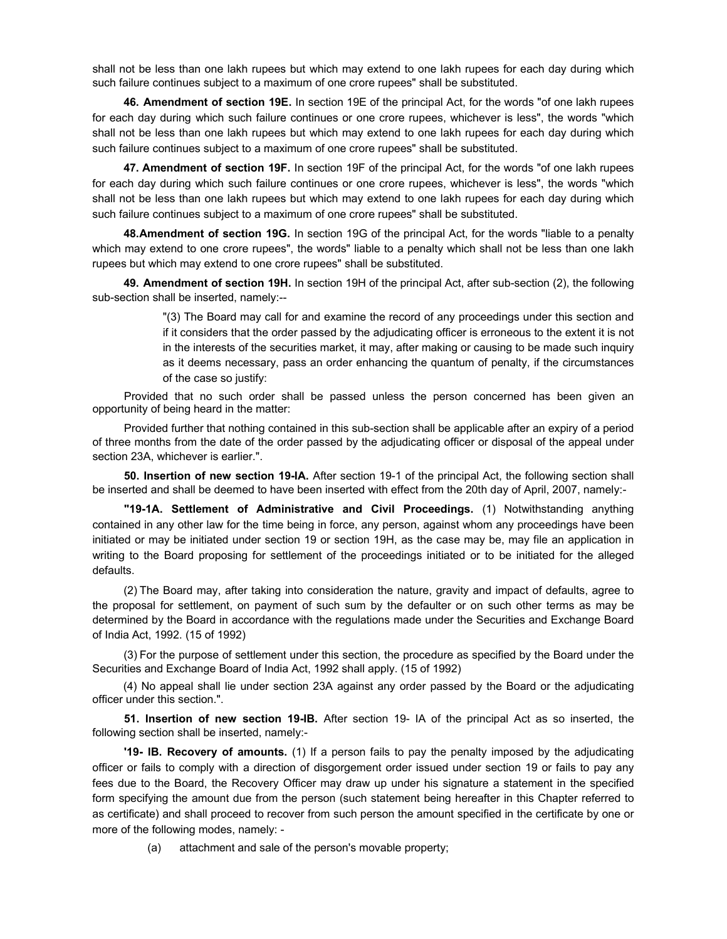shall not be less than one lakh rupees but which may extend to one lakh rupees for each day during which such failure continues subject to a maximum of one crore rupees" shall be substituted.

**46. Amendment of section 19E.** In section 19E of the principal Act, for the words "of one lakh rupees for each day during which such failure continues or one crore rupees, whichever is less", the words "which shall not be less than one lakh rupees but which may extend to one lakh rupees for each day during which such failure continues subject to a maximum of one crore rupees" shall be substituted.

**47. Amendment of section 19F.** In section 19F of the principal Act, for the words "of one lakh rupees for each day during which such failure continues or one crore rupees, whichever is less", the words "which shall not be less than one lakh rupees but which may extend to one lakh rupees for each day during which such failure continues subject to a maximum of one crore rupees" shall be substituted.

**48. Amendment of section 19G.** In section 19G of the principal Act, for the words "liable to a penalty which may extend to one crore rupees", the words" liable to a penalty which shall not be less than one lakh rupees but which may extend to one crore rupees" shall be substituted.

**49. Amendment of section 19H.** In section 19H of the principal Act, after sub-section (2), the following sub-section shall be inserted, namely:--

> "(3) The Board may call for and examine the record of any proceedings under this section and if it considers that the order passed by the adjudicating officer is erroneous to the extent it is not in the interests of the securities market, it may, after making or causing to be made such inquiry as it deems necessary, pass an order enhancing the quantum of penalty, if the circumstances of the case so justify:

Provided that no such order shall be passed unless the person concerned has been given an opportunity of being heard in the matter:

Provided further that nothing contained in this sub-section shall be applicable after an expiry of a period of three months from the date of the order passed by the adjudicating officer or disposal of the appeal under section 23A, whichever is earlier.".

**50. Insertion of new section 19-IA.** After section 19-1 of the principal Act, the following section shall be inserted and shall be deemed to have been inserted with effect from the 20th day of April, 2007, namely:-

**"19-1A. Settlement of Administrative and Civil Proceedings.** (1) Notwithstanding anything contained in any other law for the time being in force, any person, against whom any proceedings have been initiated or may be initiated under section 19 or section 19H, as the case may be, may file an application in writing to the Board proposing for settlement of the proceedings initiated or to be initiated for the alleged defaults.

(2) The Board may, after taking into consideration the nature, gravity and impact of defaults, agree to the proposal for settlement, on payment of such sum by the defaulter or on such other terms as may be determined by the Board in accordance with the regulations made under the Securities and Exchange Board of India Act, 1992. (15 of 1992)

(3) For the purpose of settlement under this section, the procedure as specified by the Board under the Securities and Exchange Board of India Act, 1992 shall apply. (15 of 1992)

 (4) No appeal shall lie under section 23A against any order passed by the Board or the adjudicating officer under this section.".

**51. Insertion of new section 19-IB.** After section 19- IA of the principal Act as so inserted, the following section shall be inserted, namely:-

**'19- lB. Recovery of amounts.** (1) If a person fails to pay the penalty imposed by the adjudicating officer or fails to comply with a direction of disgorgement order issued under section 19 or fails to pay any fees due to the Board, the Recovery Officer may draw up under his signature a statement in the specified form specifying the amount due from the person (such statement being hereafter in this Chapter referred to as certificate) and shall proceed to recover from such person the amount specified in the certificate by one or more of the following modes, namely: -

(a) attachment and sale of the person's movable property;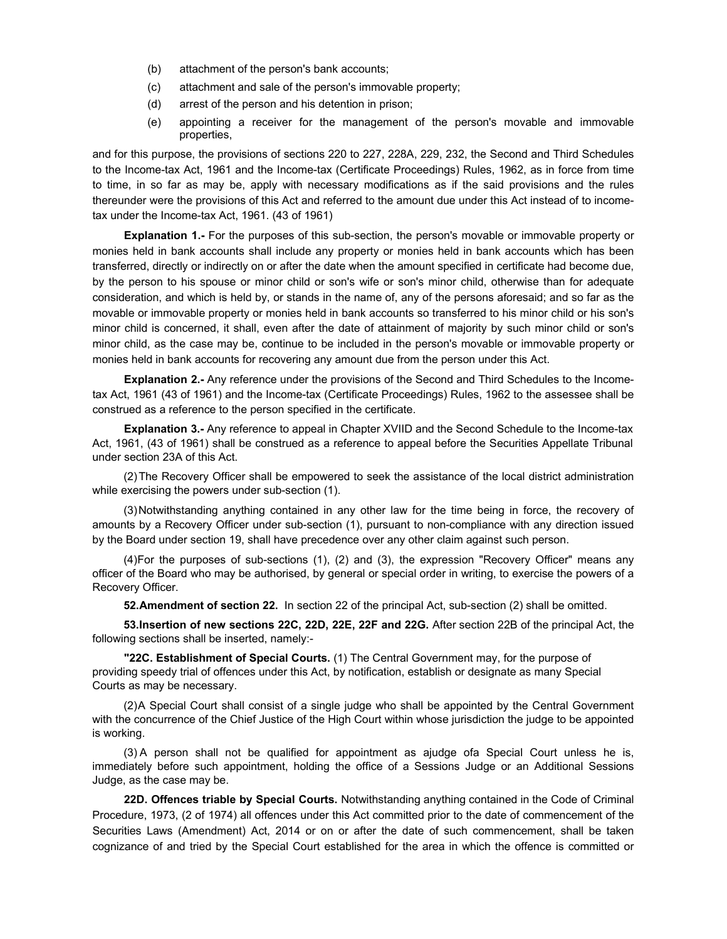- (b) attachment of the person's bank accounts;
- (c) attachment and sale of the person's immovable property;
- (d) arrest of the person and his detention in prison;
- (e) appointing a receiver for the management of the person's movable and immovable properties,

and for this purpose, the provisions of sections 220 to 227, 228A, 229, 232, the Second and Third Schedules to the Income-tax Act, 1961 and the Income-tax (Certificate Proceedings) Rules, 1962, as in force from time to time, in so far as may be, apply with necessary modifications as if the said provisions and the rules thereunder were the provisions of this Act and referred to the amount due under this Act instead of to incometax under the Income-tax Act, 1961. (43 of 1961)

**Explanation 1.-** For the purposes of this sub-section, the person's movable or immovable property or monies held in bank accounts shall include any property or monies held in bank accounts which has been transferred, directly or indirectly on or after the date when the amount specified in certificate had become due, by the person to his spouse or minor child or son's wife or son's minor child, otherwise than for adequate consideration, and which is held by, or stands in the name of, any of the persons aforesaid; and so far as the movable or immovable property or monies held in bank accounts so transferred to his minor child or his son's minor child is concerned, it shall, even after the date of attainment of majority by such minor child or son's minor child, as the case may be, continue to be included in the person's movable or immovable property or monies held in bank accounts for recovering any amount due from the person under this Act.

**Explanation 2.-** Any reference under the provisions of the Second and Third Schedules to the Incometax Act, 1961 (43 of 1961) and the Income-tax (Certificate Proceedings) Rules, 1962 to the assessee shall be construed as a reference to the person specified in the certificate.

**Explanation 3.-** Any reference to appeal in Chapter XVIID and the Second Schedule to the Income-tax Act, 1961, (43 of 1961) shall be construed as a reference to appeal before the Securities Appellate Tribunal under section 23A of this Act.

(2) The Recovery Officer shall be empowered to seek the assistance of the local district administration while exercising the powers under sub-section (1).

(3) Notwithstanding anything contained in any other law for the time being in force, the recovery of amounts by a Recovery Officer under sub-section (1), pursuant to non-compliance with any direction issued by the Board under section 19, shall have precedence over any other claim against such person.

(4) For the purposes of sub-sections (1), (2) and (3), the expression "Recovery Officer" means any officer of the Board who may be authorised, by general or special order in writing, to exercise the powers of a Recovery Officer.

**52. Amendment of section 22.** In section 22 of the principal Act, sub-section (2) shall be omitted.

**53.Insertion of new sections 22C, 22D, 22E, 22F and 22G.** After section 22B of the principal Act, the following sections shall be inserted, namely:-

**"22C. Establishment of Special Courts.** (1) The Central Government may, for the purpose of providing speedy trial of offences under this Act, by notification, establish or designate as many Special Courts as may be necessary.

(2) A Special Court shall consist of a single judge who shall be appointed by the Central Government with the concurrence of the Chief Justice of the High Court within whose jurisdiction the judge to be appointed is working.

(3) A person shall not be qualified for appointment as ajudge ofa Special Court unless he is, immediately before such appointment, holding the office of a Sessions Judge or an Additional Sessions Judge, as the case may be.

**22D. Offences triable by Special Courts.** Notwithstanding anything contained in the Code of Criminal Procedure, 1973, (2 of 1974) all offences under this Act committed prior to the date of commencement of the Securities Laws (Amendment) Act, 2014 or on or after the date of such commencement, shall be taken cognizance of and tried by the Special Court established for the area in which the offence is committed or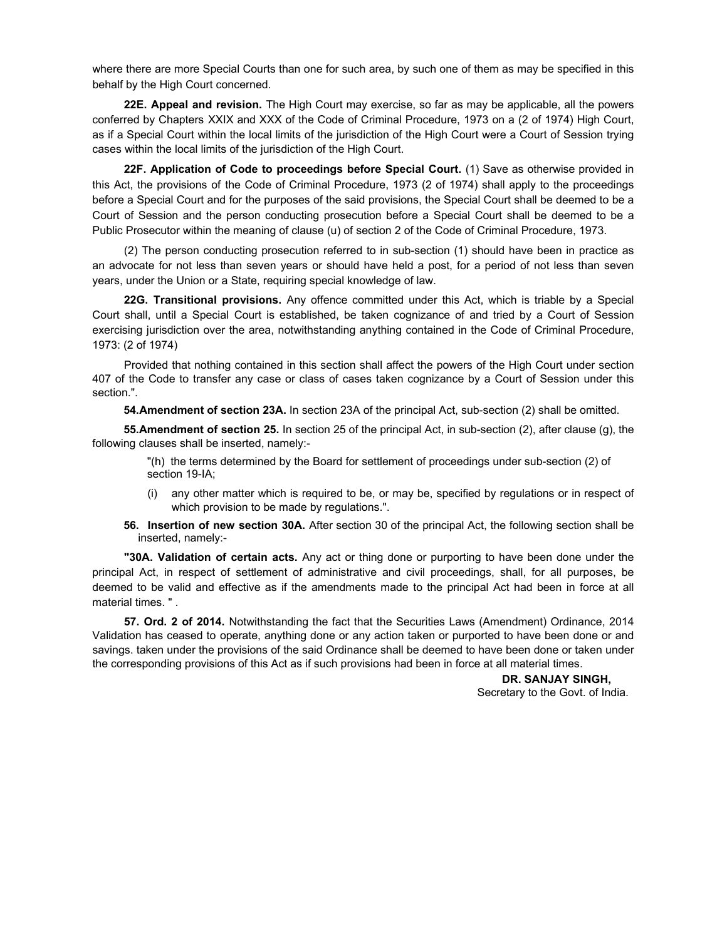where there are more Special Courts than one for such area, by such one of them as may be specified in this behalf by the High Court concerned.

**22E. Appeal and revision.** The High Court may exercise, so far as may be applicable, all the powers conferred by Chapters XXIX and XXX of the Code of Criminal Procedure, 1973 on a (2 of 1974) High Court, as if a Special Court within the local limits of the jurisdiction of the High Court were a Court of Session trying cases within the local limits of the jurisdiction of the High Court.

**22F. Application of Code to proceedings before Special Court.** (1) Save as otherwise provided in this Act, the provisions of the Code of Criminal Procedure, 1973 (2 of 1974) shall apply to the proceedings before a Special Court and for the purposes of the said provisions, the Special Court shall be deemed to be a Court of Session and the person conducting prosecution before a Special Court shall be deemed to be a Public Prosecutor within the meaning of clause (u) of section 2 of the Code of Criminal Procedure, 1973.

(2) The person conducting prosecution referred to in sub-section (1) should have been in practice as an advocate for not less than seven years or should have held a post, for a period of not less than seven years, under the Union or a State, requiring special knowledge of law.

**22G. Transitional provisions.** Any offence committed under this Act, which is triable by a Special Court shall, until a Special Court is established, be taken cognizance of and tried by a Court of Session exercising jurisdiction over the area, notwithstanding anything contained in the Code of Criminal Procedure, 1973: (2 of 1974)

Provided that nothing contained in this section shall affect the powers of the High Court under section 407 of the Code to transfer any case or class of cases taken cognizance by a Court of Session under this section.".

**54. Amendment of section 23A.** In section 23A of the principal Act, sub-section (2) shall be omitted.

**55.Amendment of section 25.** In section 25 of the principal Act, in sub-section (2), after clause (g), the following clauses shall be inserted, namely:-

"(h) the terms determined by the Board for settlement of proceedings under sub-section (2) of section 19-IA;

- (i) any other matter which is required to be, or may be, specified by regulations or in respect of which provision to be made by regulations.".
- **56. Insertion of new section 30A.** After section 30 of the principal Act, the following section shall be inserted, namely:-

**"30A. Validation of certain acts.** Any act or thing done or purporting to have been done under the principal Act, in respect of settlement of administrative and civil proceedings, shall, for all purposes, be deemed to be valid and effective as if the amendments made to the principal Act had been in force at all material times. " .

**57. Ord. 2 of 2014.** Notwithstanding the fact that the Securities Laws (Amendment) Ordinance, 2014 Validation has ceased to operate, anything done or any action taken or purported to have been done or and savings. taken under the provisions of the said Ordinance shall be deemed to have been done or taken under the corresponding provisions of this Act as if such provisions had been in force at all material times.

> **DR. SANJAY SINGH,** Secretary to the Govt. of India.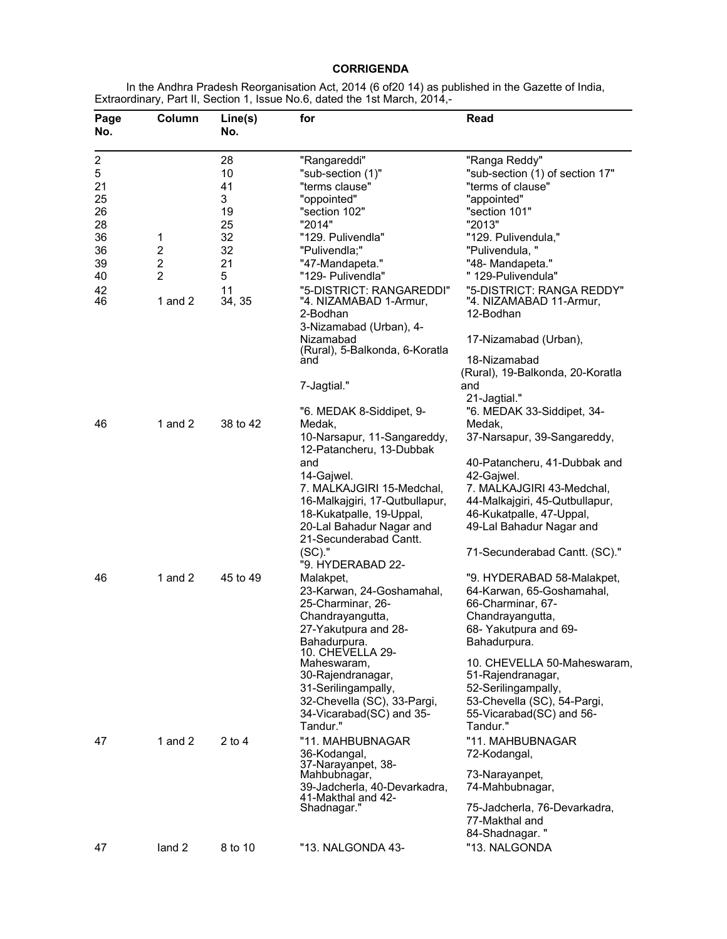# **CORRIGENDA**

In the Andhra Pradesh Reorganisation Act, 2014 (6 of20 14) as published in the Gazette of India, Extraordinary, Part II, Section 1, Issue No.6, dated the 1st March, 2014,-

| Page<br>No.                        | Column                  | Line(s)<br>No. | for                                                                            | Read                                                                  |
|------------------------------------|-------------------------|----------------|--------------------------------------------------------------------------------|-----------------------------------------------------------------------|
| $\overline{\mathbf{c}}$<br>5<br>21 |                         | 28<br>10<br>41 | "Rangareddi"<br>"sub-section (1)"<br>"terms clause"                            | "Ranga Reddy"<br>"sub-section (1) of section 17"<br>"terms of clause" |
| 25                                 |                         | 3              | "oppointed"                                                                    | "appointed"                                                           |
| 26                                 |                         | 19             | "section 102"                                                                  | "section 101"                                                         |
| 28<br>36                           | 1                       | 25<br>32       | "2014"<br>"129. Pulivendla"                                                    | "2013"<br>"129. Pulivendula,"                                         |
| 36                                 | $\overline{c}$          | 32             | "Pulivendla;"                                                                  | "Pulivendula, "                                                       |
| 39                                 | $\overline{\mathbf{c}}$ | 21             | "47-Mandapeta."                                                                | "48- Mandapeta."                                                      |
| 40                                 | $\overline{2}$          | 5              | "129- Pulivendla"                                                              | "129-Pulivendula"                                                     |
| 42<br>46                           | 1 and $2$               | 11<br>34, 35   | "5-DISTRICT: RANGAREDDI"<br>"4. NIZAMABAD 1-Armur,<br>2-Bodhan                 | "5-DISTRICT: RANGA REDDY"<br>"4. NIZAMABAD 11-Armur,<br>12-Bodhan     |
|                                    |                         |                | 3-Nizamabad (Urban), 4-<br>Nizamabad<br>(Rural), 5-Balkonda, 6-Koratla         | 17-Nizamabad (Urban),                                                 |
|                                    |                         |                | and                                                                            | 18-Nizamabad                                                          |
|                                    |                         |                |                                                                                | (Rural), 19-Balkonda, 20-Koratla                                      |
|                                    |                         |                | 7-Jagtial."                                                                    | and                                                                   |
|                                    |                         |                | "6. MEDAK 8-Siddipet, 9-                                                       | 21-Jagtial."<br>"6. MEDAK 33-Siddipet, 34-                            |
| 46                                 | 1 and $2$               | 38 to 42       | Medak,                                                                         | Medak,                                                                |
|                                    |                         |                | 10-Narsapur, 11-Sangareddy,<br>12-Patancheru, 13-Dubbak                        | 37-Narsapur, 39-Sangareddy,                                           |
|                                    |                         |                | and                                                                            | 40-Patancheru, 41-Dubbak and                                          |
|                                    |                         |                | 14-Gajwel.                                                                     | 42-Gajwel.                                                            |
|                                    |                         |                | 7. MALKAJGIRI 15-Medchal,                                                      | 7. MALKAJGIRI 43-Medchal,                                             |
|                                    |                         |                | 16-Malkajgiri, 17-Qutbullapur,                                                 | 44-Malkajgiri, 45-Qutbullapur,                                        |
|                                    |                         |                | 18-Kukatpalle, 19-Uppal,<br>20-Lal Bahadur Nagar and<br>21-Secunderabad Cantt. | 46-Kukatpalle, 47-Uppal,<br>49-Lal Bahadur Nagar and                  |
|                                    |                         |                | $(SC)$ ."<br>"9. HYDERABAD 22-                                                 | 71-Secunderabad Cantt. (SC)."                                         |
| 46                                 | 1 and $2$               | 45 to 49       | Malakpet,                                                                      | "9. HYDERABAD 58-Malakpet,                                            |
|                                    |                         |                | 23-Karwan, 24-Goshamahal,                                                      | 64-Karwan, 65-Goshamahal,                                             |
|                                    |                         |                | 25-Charminar, 26-                                                              | 66-Charminar, 67-                                                     |
|                                    |                         |                | Chandrayangutta,                                                               | Chandrayangutta,                                                      |
|                                    |                         |                | 27-Yakutpura and 28-<br>Bahadurpura.                                           | 68- Yakutpura and 69-<br>Bahadurpura.                                 |
|                                    |                         |                | 10. CHEVELLA 29-                                                               |                                                                       |
|                                    |                         |                | Maheswaram,                                                                    | 10. CHEVELLA 50-Maheswaram,                                           |
|                                    |                         |                | 30-Rajendranagar,                                                              | 51-Rajendranagar,                                                     |
|                                    |                         |                | 31-Serilingampally,<br>32-Chevella (SC), 33-Pargi,                             | 52-Serilingampally,<br>53-Chevella (SC), 54-Pargi,                    |
|                                    |                         |                | 34-Vicarabad(SC) and 35-                                                       | 55-Vicarabad(SC) and 56-                                              |
|                                    |                         |                | Tandur."                                                                       | Tandur."                                                              |
| 47                                 | 1 and $2$               | $2$ to 4       | "11. MAHBUBNAGAR                                                               | "11. MAHBUBNAGAR                                                      |
|                                    |                         |                | 36-Kodangal,                                                                   | 72-Kodangal,                                                          |
|                                    |                         |                | 37-Narayanpet, 38-<br>Mahbubnagar,                                             | 73-Narayanpet,                                                        |
|                                    |                         |                | 39-Jadcherla, 40-Devarkadra,<br>41-Makthal and 42-                             | 74-Mahbubnagar,                                                       |
|                                    |                         |                | Shadnagar."                                                                    | 75-Jadcherla, 76-Devarkadra,<br>77-Makthal and                        |
|                                    |                         |                |                                                                                | 84-Shadnagar."                                                        |
| 47                                 | land 2                  | 8 to 10        | "13. NALGONDA 43-                                                              | "13. NALGONDA                                                         |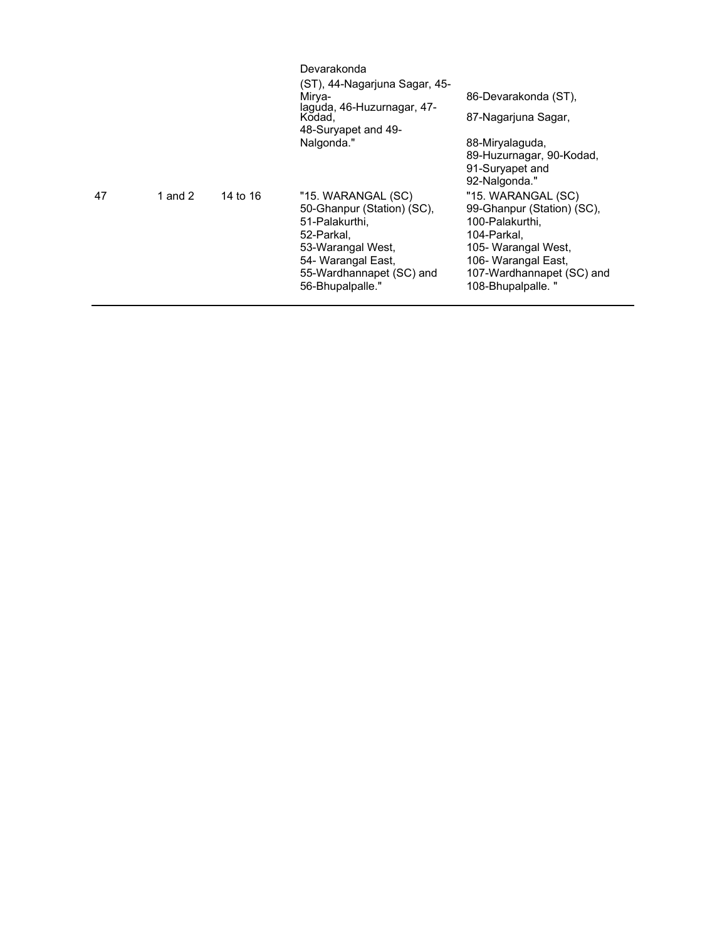|    |         |          | Devarakonda<br>(ST), 44-Nagarjuna Sagar, 45-                                                                                                                                |                                                                                                                                                                                     |
|----|---------|----------|-----------------------------------------------------------------------------------------------------------------------------------------------------------------------------|-------------------------------------------------------------------------------------------------------------------------------------------------------------------------------------|
|    |         |          | Mirva-<br>laguda, 46-Huzurnagar, 47-<br>Kodad,<br>48-Suryapet and 49-                                                                                                       | 86-Devarakonda (ST),<br>87-Nagarjuna Sagar,                                                                                                                                         |
|    |         |          | Nalgonda."                                                                                                                                                                  | 88-Miryalaguda,<br>89-Huzurnagar, 90-Kodad,<br>91-Suryapet and<br>92-Nalgonda."                                                                                                     |
| 47 | 1 and 2 | 14 to 16 | "15. WARANGAL (SC)<br>50-Ghanpur (Station) (SC).<br>51-Palakurthi,<br>52-Parkal,<br>53-Warangal West,<br>54- Warangal East,<br>55-Wardhannapet (SC) and<br>56-Bhupalpalle." | "15. WARANGAL (SC)<br>99-Ghanpur (Station) (SC),<br>100-Palakurthi,<br>104-Parkal,<br>105- Warangal West,<br>106- Warangal East,<br>107-Wardhannapet (SC) and<br>108-Bhupalpalle. " |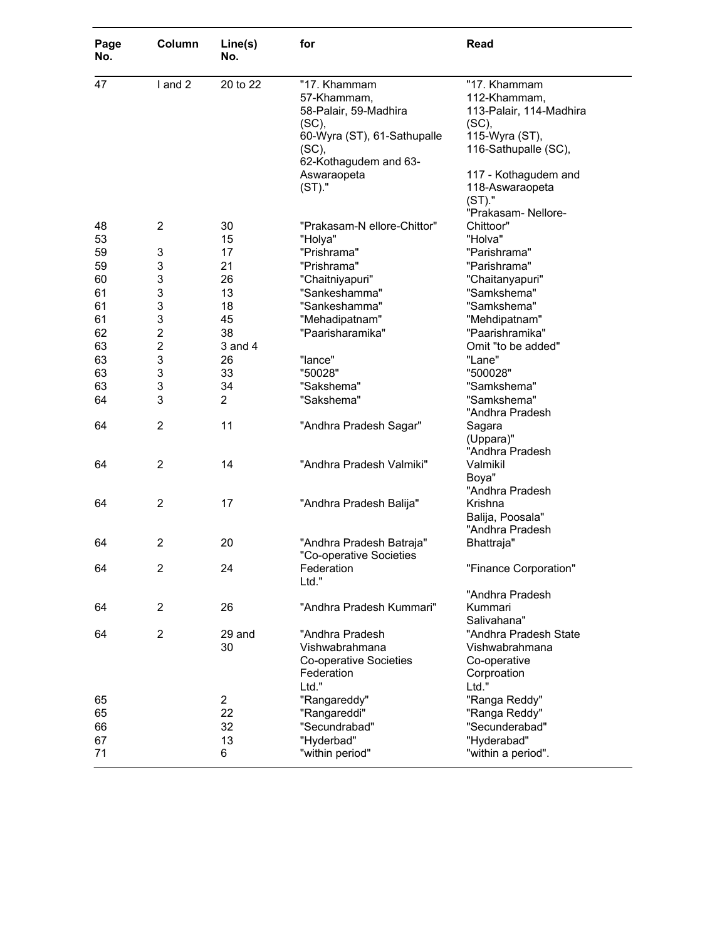| Page<br>No. | Column         | Line(s)<br>No. | for                               | Read                                |
|-------------|----------------|----------------|-----------------------------------|-------------------------------------|
| 47          | I and 2        | 20 to 22       | "17. Khammam<br>57-Khammam,       | "17. Khammam<br>112-Khammam,        |
|             |                |                | 58-Palair, 59-Madhira<br>$(SC)$ , | 113-Palair, 114-Madhira<br>$(SC)$ , |
|             |                |                | 60-Wyra (ST), 61-Sathupalle       | 115-Wyra (ST),                      |
|             |                |                | $(SC)$ ,<br>62-Kothagudem and 63- | 116-Sathupalle (SC),                |
|             |                |                | Aswaraopeta                       | 117 - Kothagudem and                |
|             |                |                | (ST)."                            | 118-Aswaraopeta                     |
|             |                |                |                                   | (ST)."                              |
|             |                |                |                                   | "Prakasam- Nellore-                 |
| 48          | $\overline{2}$ | 30             | "Prakasam-N ellore-Chittor"       | Chittoor"                           |
| 53          |                | 15             | "Holya"                           | "Holva"                             |
| 59          | 3              | 17             | "Prishrama"                       | "Parishrama"                        |
| 59          | 3              | 21             | "Prishrama"                       | "Parishrama"                        |
| 60          | 3              | 26             | "Chaitniyapuri"                   | "Chaitanyapuri"                     |
| 61          | 3              | 13             | "Sankeshamma"                     | "Samkshema"                         |
| 61          | 3              | 18             | "Sankeshamma"                     | "Samkshema"                         |
| 61          | 3              | 45             | "Mehadipatnam"                    | "Mehdipatnam"                       |
| 62          | $\overline{c}$ | 38             | "Paarisharamika"                  | "Paarishramika"                     |
| 63          | $\overline{c}$ | 3 and 4        |                                   | Omit "to be added"                  |
| 63          | 3              | 26             | "lance"                           | "Lane"                              |
| 63          | 3              | 33             | "50028"                           | "500028"                            |
| 63          | 3              | 34             | "Sakshema"                        | "Samkshema"                         |
| 64          | 3              | $\overline{2}$ | "Sakshema"                        | "Samkshema"                         |
|             |                |                |                                   | "Andhra Pradesh                     |
| 64          | $\overline{2}$ | 11             | "Andhra Pradesh Sagar"            | Sagara                              |
|             |                |                |                                   | (Uppara)"                           |
|             |                |                |                                   | "Andhra Pradesh                     |
| 64          | $\overline{2}$ | 14             | "Andhra Pradesh Valmiki"          | Valmikil                            |
|             |                |                |                                   | Boya"                               |
|             |                |                |                                   | "Andhra Pradesh                     |
| 64          | $\overline{2}$ | 17             | "Andhra Pradesh Balija"           | Krishna                             |
|             |                |                |                                   | Balija, Poosala"                    |
|             |                |                |                                   | "Andhra Pradesh                     |
| 64          | 2              | 20             | "Andhra Pradesh Batraja"          | Bhattraja"                          |
|             |                |                | "Co-operative Societies           |                                     |
| 64          | 2              | 24             | Federation                        | "Finance Corporation"               |
|             |                |                | Ltd."                             |                                     |
|             |                |                |                                   | "Andhra Pradesh                     |
| 64          | $\overline{2}$ | 26             | "Andhra Pradesh Kummari"          | Kummari                             |
|             |                |                |                                   | Salivahana"                         |
| 64          | $\overline{2}$ | 29 and         | "Andhra Pradesh                   | "Andhra Pradesh State               |
|             |                | 30             | Vishwabrahmana                    | Vishwabrahmana                      |
|             |                |                | Co-operative Societies            | Co-operative                        |
|             |                |                | Federation                        | Corproation                         |
|             |                |                | Ltd."                             | Ltd."                               |
| 65          |                | $\overline{2}$ | "Rangareddy"                      | "Ranga Reddy"                       |
| 65          |                | 22             | "Rangareddi"                      | "Ranga Reddy"                       |
| 66          |                | 32             | "Secundrabad"                     | "Secunderabad"                      |
| 67          |                | 13             | "Hyderbad"                        | "Hyderabad"                         |
| 71          |                | 6              | "within period"                   | "within a period".                  |